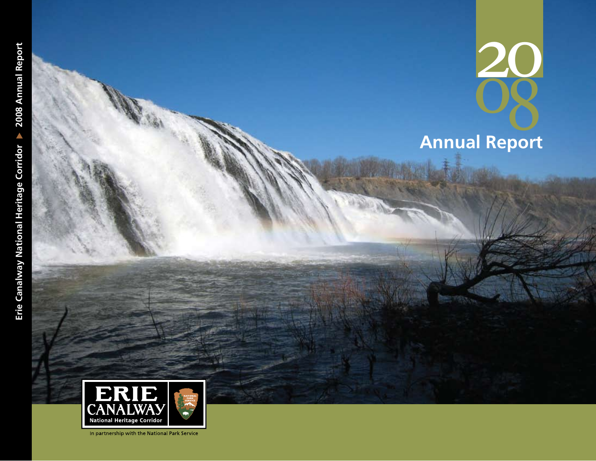2008 **Annual Report** ER **CAN National Heritage Corridor** 

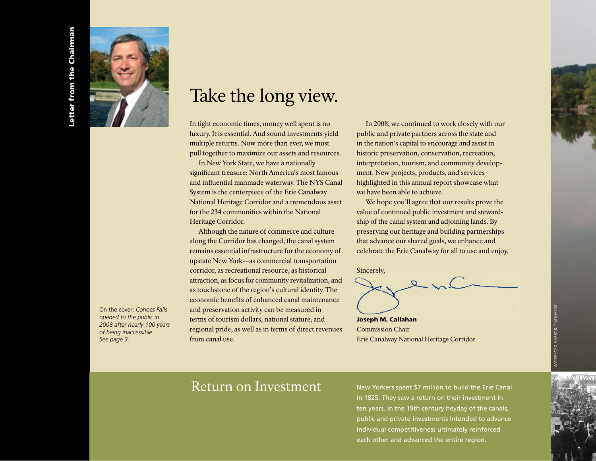



On the cover: *Cohoes Falls opened to the public in 2008 after nearly 100 years of being inaccessible. See page 3.*

# Take the long view.

In tight economic times, money well spent is no luxury. It is essential. And sound investments yield multiple returns. Now more than ever, we must pull together to maximize our assets and resources.

In New York State, we have a nationally significant treasure: North America's most famous and influential manmade waterway. The NYS Canal System is the centerpiece of the Erie Canalway National Heritage Corridor and a tremendous asset for the 234 communities within the National Heritage Corridor.

Although the nature of commerce and culture along the Corridor has changed, the canal system remains essential infrastructure for the economy of upstate New York—as commercial transportation corridor, as recreational resource, as historical attraction, as focus for community revitalization, and as touchstone of the region's cultural identity. The economic benefits of enhanced canal maintenance and preservation activity can be measured in terms of tourism dollars, national stature, and regional pride, as well as in terms of direct revenues from canal use.

In 2008, we continued to work closely with our public and private partners across the state and in the nation's capital to encourage and assist in historic preservation, conservation, recreation, interpretation, tourism, and community development. New projects, products, and services highlighted in this annual report showcase what we have been able to achieve.

We hope you'll agree that our results prove the value of continued public investment and stewardship of the canal system and adjoining lands. By preserving our heritage and building partnerships that advance our shared goals, we enhance and celebrate the Erie Canalway for all to use and enjoy.

Sincerely,



Commission Chair Erie Canalway National Heritage Corridor

## Return on Investment

New Yorkers spent \$7 million to build the Erie Canal in 1825. They saw a return on their investment in ten years. In the 19th century heyday of the canals, public and private investments intended to advance individual competitiveness ultimately reinforced each other and advanced the entire region.

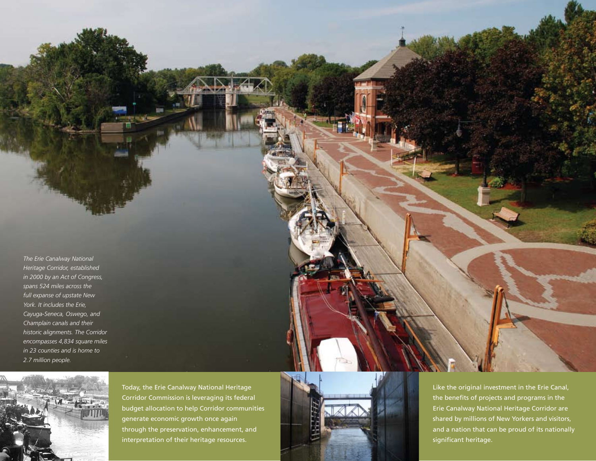*The Erie Canalway National Heritage Corridor, established in 2000 by an Act of Congress, spans 524 miles across the full expanse of upstate New York. It includes the Erie, Cayuga-Seneca, Oswego, and Champlain canals and their historic alignments. The Corridor encompasses 4,834 square miles in 23 counties and is home to 2.7 million people.* 



Today, the Erie Canalway National Heritage Corridor Commission is leveraging its federal budget allocation to help Corridor communities generate economic growth once again through the preservation, enhancement, and interpretation of their heritage resources.



Like the original investment in the Erie Canal, the benefits of projects and programs in the Erie Canalway National Heritage Corridor are shared by millions of New Yorkers and visitors, and a nation that can be proud of its nationally significant heritage.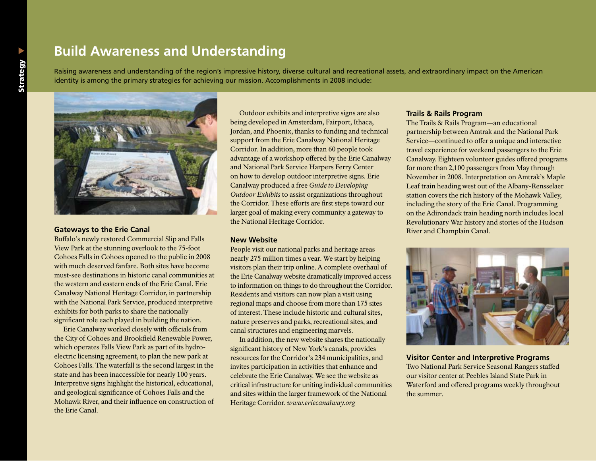## **Build Awareness and Understanding**

Raising awareness and understanding of the region's impressive history, diverse cultural and recreational assets, and extraordinary impact on the American identity is among the primary strategies for achieving our mission. Accomplishments in 2008 include:



#### **Gateways to the Erie Canal**

Buffalo's newly restored Commercial Slip and Falls View Park at the stunning overlook to the 75-foot Cohoes Falls in Cohoes opened to the public in 2008 with much deserved fanfare. Both sites have become must-see destinations in historic canal communities at the western and eastern ends of the Erie Canal. Erie Canalway National Heritage Corridor, in partnership with the National Park Service, produced interpretive exhibits for both parks to share the nationally significant role each played in building the nation.

Erie Canalway worked closely with officials from the City of Cohoes and Brookfield Renewable Power, which operates Falls View Park as part of its hydroelectric licensing agreement, to plan the new park at Cohoes Falls. The waterfall is the second largest in the state and has been inaccessible for nearly 100 years. Interpretive signs highlight the historical, educational, and geological significance of Cohoes Falls and the Mohawk River, and their influence on construction of the Erie Canal.

Outdoor exhibits and interpretive signs are also being developed in Amsterdam, Fairport, Ithaca, Jordan, and Phoenix, thanks to funding and technical support from the Erie Canalway National Heritage Corridor. In addition, more than 60 people took advantage of a workshop offered by the Erie Canalway and National Park Service Harpers Ferry Center on how to develop outdoor interpretive signs. Erie Canalway produced a free *Guide to Developing Outdoor Exhibits* to assist organizations throughout the Corridor. These efforts are first steps toward our larger goal of making every community a gateway to the National Heritage Corridor.

#### **New Website**

People visit our national parks and heritage areas nearly 275 million times a year. We start by helping visitors plan their trip online. A complete overhaul of the Erie Canalway website dramatically improved access to information on things to do throughout the Corridor. Residents and visitors can now plan a visit using regional maps and choose from more than 175 sites of interest. These include historic and cultural sites, nature preserves and parks, recreational sites, and canal structures and engineering marvels.

In addition, the new website shares the nationally significant history of New York's canals, provides resources for the Corridor's 234 municipalities, and invites participation in activities that enhance and celebrate the Erie Canalway. We see the website as critical infrastructure for uniting individual communities and sites within the larger framework of the National Heritage Corridor. *www.eriecanalway.org*

#### **Trails & Rails Program**

The Trails & Rails Program—an educational partnership between Amtrak and the National Park Service—continued to offer a unique and interactive travel experience for weekend passengers to the Erie Canalway. Eighteen volunteer guides offered programs for more than 2,100 passengers from May through November in 2008. Interpretation on Amtrak's Maple Leaf train heading west out of the Albany-Rensselaer station covers the rich history of the Mohawk Valley, including the story of the Erie Canal. Programming on the Adirondack train heading north includes local Revolutionary War history and stories of the Hudson River and Champlain Canal.



**Visitor Center and Interpretive Programs**  Two National Park Service Seasonal Rangers staffed our visitor center at Peebles Island State Park in Waterford and offered programs weekly throughout the summer.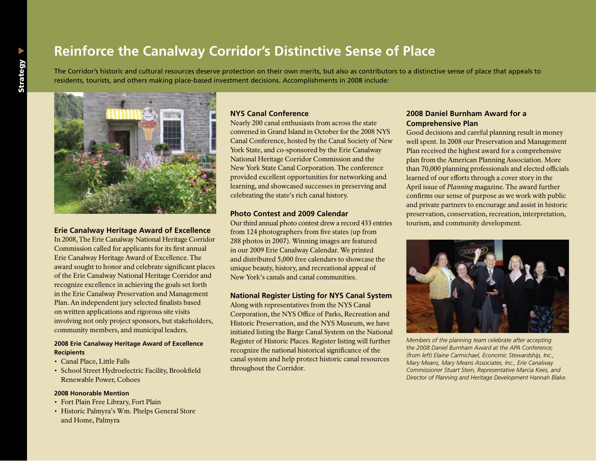## **Reinforce the Canalway Corridor's Distinctive Sense of Place**

The Corridor's historic and cultural resources deserve protection on their own merits, but also as contributors to a distinctive sense of place that appeals to residents, tourists, and others making place-based investment decisions. Accomplishments in 2008 include:



### **Erie Canalway Heritage Award of Excellence**

In 2008, The Erie Canalway National Heritage Corridor Commission called for applicants for its first annual Erie Canalway Heritage Award of Excellence. The award sought to honor and celebrate significant places of the Erie Canalway National Heritage Corridor and recognize excellence in achieving the goals set forth in the Erie Canalway Preservation and Management Plan. An independent jury selected finalists based on written applications and rigorous site visits involving not only project sponsors, but stakeholders, community members, and municipal leaders.

#### **2008 Erie Canalway Heritage Award of Excellence Recipients**

- Canal Place, Little Falls
- • School Street Hydroelectric Facility, Brookfield Renewable Power, Cohoes

#### **2008 Honorable Mention**

- Fort Plain Free Library, Fort Plain
- Historic Palmyra's Wm. Phelps General Store and Home, Palmyra

#### **NYS Canal Conference**

Nearly 200 canal enthusiasts from across the state convened in Grand Island in October for the 2008 NYS Canal Conference, hosted by the Canal Society of New York State, and co-sponsored by the Erie Canalway National Heritage Corridor Commission and the New York State Canal Corporation. The conference provided excellent opportunities for networking and learning, and showcased successes in preserving and celebrating the state's rich canal history.

#### **Photo Contest and 2009 Calendar**

Our third annual photo contest drew a record 433 entries from 124 photographers from five states (up from 288 photos in 2007). Winning images are featured in our 2009 Erie Canalway Calendar. We printed and distributed 5,000 free calendars to showcase the unique beauty, history, and recreational appeal of New York's canals and canal communities.

#### **National Register Listing for NYS Canal System**

Along with representatives from the NYS Canal Corporation, the NYS Office of Parks, Recreation and Historic Preservation, and the NYS Museum, we have initiated listing the Barge Canal System on the National Register of Historic Places. Register listing will further recognize the national historical significance of the canal system and help protect historic canal resources throughout the Corridor.

#### **2008 Daniel Burnham Award for a Comprehensive Plan**

Good decisions and careful planning result in money well spent. In 2008 our Preservation and Management Plan received the highest award for a comprehensive plan from the American Planning Association. More than 70,000 planning professionals and elected officials learned of our efforts through a cover story in the April issue of *Planning* magazine. The award further confirms our sense of purpose as we work with public and private partners to encourage and assist in historic preservation, conservation, recreation, interpretation, tourism, and community development.



*Members of the planning team celebrate after accepting the 2008 Daniel Burnham Award at the APA Conference; (from left) Elaine Carmichael, Economic Stewardship, Inc., Mary Means, Mary Means Associates, Inc., Erie Canalway Commissioner Stuart Stein, Representative Marcia Kees, and Director of Planning and Heritage Development Hannah Blake.*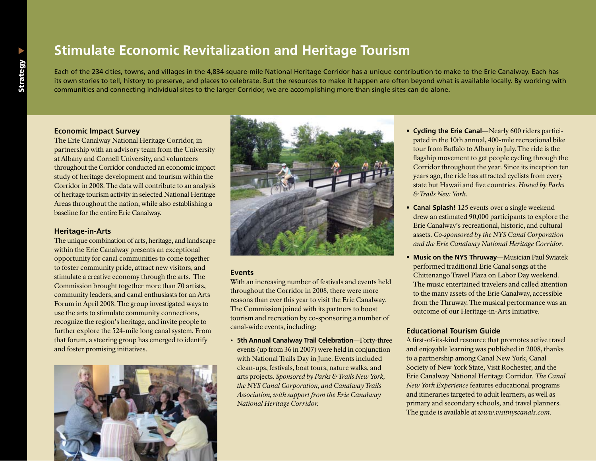## **Stimulate Economic Revitalization and Heritage Tourism**

Each of the 234 cities, towns, and villages in the 4,834-square-mile National Heritage Corridor has a unique contribution to make to the Erie Canalway. Each has its own stories to tell, history to preserve, and places to celebrate. But the resources to make it happen are often beyond what is available locally. By working with communities and connecting individual sites to the larger Corridor, we are accomplishing more than single sites can do alone.

#### **Economic Impact Survey**

The Erie Canalway National Heritage Corridor, in partnership with an advisory team from the University at Albany and Cornell University, and volunteers throughout the Corridor conducted an economic impact study of heritage development and tourism within the Corridor in 2008. The data will contribute to an analysis of heritage tourism activity in selected National Heritage Areas throughout the nation, while also establishing a baseline for the entire Erie Canalway.

#### **Heritage-in-Arts**

The unique combination of arts, heritage, and landscape within the Erie Canalway presents an exceptional opportunity for canal communities to come together to foster community pride, attract new visitors, and stimulate a creative economy through the arts. The Commission brought together more than 70 artists, community leaders, and canal enthusiasts for an Arts Forum in April 2008. The group investigated ways to use the arts to stimulate community connections, recognize the region's heritage, and invite people to further explore the 524-mile long canal system. From that forum, a steering group has emerged to identify and foster promising initiatives.





#### **Events**

With an increasing number of festivals and events held throughout the Corridor in 2008, there were more reasons than ever this year to visit the Erie Canalway. The Commission joined with its partners to boost tourism and recreation by co-sponsoring a number of canal-wide events, including:

• **5th Annual Canalway Trail Celebration**—Forty-three events (up from 36 in 2007) were held in conjunction with National Trails Day in June. Events included clean-ups, festivals, boat tours, nature walks, and arts projects. *Sponsored by Parks & Trails New York, the NYS Canal Corporation, and Canalway Trails Association, with support from the Erie Canalway National Heritage Corridor.*

- **• Cycling the Erie Canal**—Nearly 600 riders participated in the 10th annual, 400-mile recreational bike tour from Buffalo to Albany in July. The ride is the flagship movement to get people cycling through the Corridor throughout the year. Since its inception ten years ago, the ride has attracted cyclists from every state but Hawaii and five countries. *Hosted by Parks & Trails New York.*
- **• Canal Splash!** 125 events over a single weekend drew an estimated 90,000 participants to explore the Erie Canalway's recreational, historic, and cultural assets. *Co-sponsored by the NYS Canal Corporation and the Erie Canalway National Heritage Corridor.*
- **• Music on the NYS Thruway**—Musician Paul Swiatek performed traditional Erie Canal songs at the Chittenango Travel Plaza on Labor Day weekend. The music entertained travelers and called attention to the many assets of the Erie Canalway, accessible from the Thruway. The musical performance was an outcome of our Heritage-in-Arts Initiative.

#### **Educational Tourism Guide**

A first-of-its-kind resource that promotes active travel and enjoyable learning was published in 2008, thanks to a partnership among Canal New York, Canal Society of New York State, Visit Rochester, and the Erie Canalway National Heritage Corridor. *The Canal New York Experience* features educational programs and itineraries targeted to adult learners, as well as primary and secondary schools, and travel planners. The guide is available at *www.visitnyscanals.com*.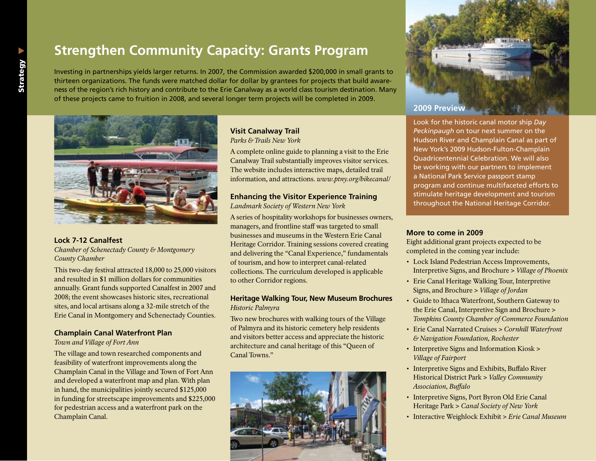## **Strengthen Community Capacity: Grants Program**

Investing in partnerships yields larger returns. In 2007, the Commission awarded \$200,000 in small grants to thirteen organizations. The funds were matched dollar for dollar by grantees for projects that build awareness of the region's rich history and contribute to the Erie Canalway as a world class tourism destination. Many of these projects came to fruition in 2008, and several longer term projects will be completed in 2009.



#### **Lock 7-12 Canalfest**

*Chamber of Schenectady County & Montgomery County Chamber*

This two-day festival attracted 18,000 to 25,000 visitors and resulted in \$1 million dollars for communities annually. Grant funds supported Canalfest in 2007 and 2008; the event showcases historic sites, recreational sites, and local artisans along a 32-mile stretch of the Erie Canal in Montgomery and Schenectady Counties.

#### **Champlain Canal Waterfront Plan**

*Town and Village of Fort Ann*

The village and town researched components and feasibility of waterfront improvements along the Champlain Canal in the Village and Town of Fort Ann and developed a waterfront map and plan. With plan in hand, the municipalities jointly secured \$125,000 in funding for streetscape improvements and \$225,000 for pedestrian access and a waterfront park on the Champlain Canal.

#### **Visit Canalway Trail**  *Parks & Trails New York*

A complete online guide to planning a visit to the Erie Canalway Trail substantially improves visitor services.

The website includes interactive maps, detailed trail information, and attractions. *www.ptny.org/bikecanal/*

#### **Enhancing the Visitor Experience Training** *Landmark Society of Western New York*

A series of hospitality workshops for businesses owners, managers, and frontline staff was targeted to small businesses and museums in the Western Erie Canal Heritage Corridor. Training sessions covered creating and delivering the "Canal Experience," fundamentals of tourism, and how to interpret canal-related collections. The curriculum developed is applicable to other Corridor regions.

#### **Heritage Walking Tour, New Museum Brochures** *Historic Palmyra*

Two new brochures with walking tours of the Village of Palmyra and its historic cemetery help residents and visitors better access and appreciate the historic architecture and canal heritage of this "Queen of Canal Towns."





## **2009 Preview**

Look for the historic canal motor ship *Day Peckinpaugh* on tour next summer on the Hudson River and Champlain Canal as part of New York's 2009 Hudson-Fulton-Champlain Quadricentennial Celebration. We will also be working with our partners to implement a National Park Service passport stamp program and continue multifaceted efforts to stimulate heritage development and tourism throughout the National Heritage Corridor.

#### **More to come in 2009**

Eight additional grant projects expected to be completed in the coming year include:

- • Lock Island Pedestrian Access Improvements, Interpretive Signs, and Brochure > *Village of Phoenix*
- Erie Canal Heritage Walking Tour, Interpretive Signs, and Brochure > *Village of Jordan*
- • Guide to Ithaca Waterfront, Southern Gateway to the Erie Canal, Interpretive Sign and Brochure > *Tompkins County Chamber of Commerce Foundation*
- • Erie Canal Narrated Cruises > *Cornhill Waterfront & Navigation Foundation, Rochester*
- Interpretive Signs and Information Kiosk > *Village of Fairport*
- Interpretive Signs and Exhibits, Buffalo River Historical District Park > *Valley Community Association, Buffalo*
- Interpretive Signs, Port Byron Old Erie Canal Heritage Park > *Canal Society of New York*
- • Interactive Weighlock Exhibit > *Erie Canal Museum*